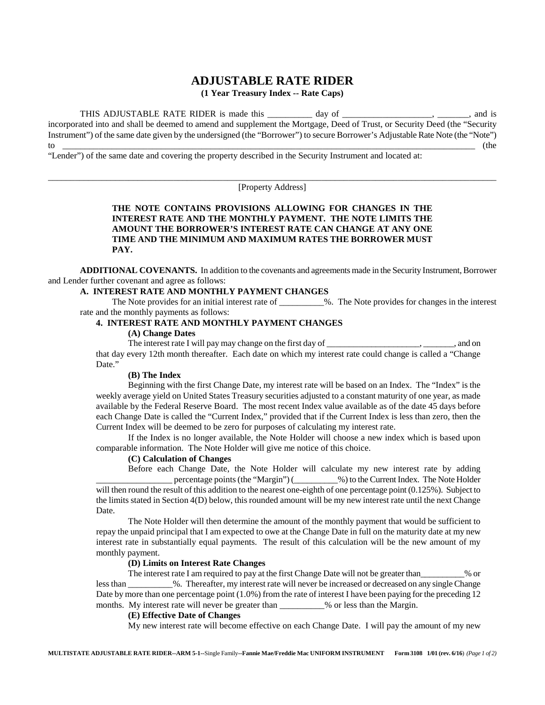# **ADJUSTABLE RATE RIDER (1 Year Treasury Index -- Rate Caps)**

THIS ADJUSTABLE RATE RIDER is made this \_\_\_\_\_\_\_\_\_ day of \_\_\_\_\_\_\_\_\_\_\_\_\_\_\_\_\_, \_\_\_\_\_\_, and is incorporated into and shall be deemed to amend and supplement the Mortgage, Deed of Trust, or Security Deed (the "Security Instrument") of the same date given by the undersigned (the "Borrower") to secure Borrower's Adjustable Rate Note (the "Note") to \_\_\_\_\_\_\_\_\_\_\_\_\_\_\_\_\_\_\_\_\_\_\_\_\_\_\_\_\_\_\_\_\_\_\_\_\_\_\_\_\_\_\_\_\_\_\_\_\_\_\_\_\_\_\_\_\_\_\_\_\_\_\_\_\_\_\_\_\_\_\_\_\_\_\_\_\_\_\_\_\_\_\_\_\_\_\_\_\_\_\_\_ (the

"Lender") of the same date and covering the property described in the Security Instrument and located at:

\_\_\_\_\_\_\_\_\_\_\_\_\_\_\_\_\_\_\_\_\_\_\_\_\_\_\_\_\_\_\_\_\_\_\_\_\_\_\_\_\_\_\_\_\_\_\_\_\_\_\_\_\_\_\_\_\_\_\_\_\_\_\_\_\_\_\_\_\_\_\_\_\_\_\_\_\_\_\_\_\_\_\_\_\_\_\_\_\_\_\_\_\_\_\_\_\_\_\_\_ [Property Address]

# **THE NOTE CONTAINS PROVISIONS ALLOWING FOR CHANGES IN THE INTEREST RATE AND THE MONTHLY PAYMENT. THE NOTE LIMITS THE AMOUNT THE BORROWER'S INTEREST RATE CAN CHANGE AT ANY ONE TIME AND THE MINIMUM AND MAXIMUM RATES THE BORROWER MUST PAY.**

**ADDITIONAL COVENANTS.** In addition to the covenants and agreements made in the Security Instrument, Borrower and Lender further covenant and agree as follows:

## **A. INTEREST RATE AND MONTHLY PAYMENT CHANGES**

The Note provides for an initial interest rate of \_\_\_\_\_\_\_\_\_\_%. The Note provides for changes in the interest rate and the monthly payments as follows:

# **4. INTEREST RATE AND MONTHLY PAYMENT CHANGES**

### **(A) Change Dates**

The interest rate I will pay may change on the first day of \_\_\_\_\_\_\_\_\_\_\_\_\_\_\_\_\_\_\_\_\_, \_\_\_\_\_\_\_, and on that day every 12th month thereafter. Each date on which my interest rate could change is called a "Change Date."

#### **(B) The Index**

Beginning with the first Change Date, my interest rate will be based on an Index. The "Index" is the weekly average yield on United States Treasury securities adjusted to a constant maturity of one year, as made available by the Federal Reserve Board. The most recent Index value available as of the date 45 days before each Change Date is called the "Current Index," provided that if the Current Index is less than zero, then the Current Index will be deemed to be zero for purposes of calculating my interest rate.

If the Index is no longer available, the Note Holder will choose a new index which is based upon comparable information. The Note Holder will give me notice of this choice.

#### **(C) Calculation of Changes**

Before each Change Date, the Note Holder will calculate my new interest rate by adding \_\_\_\_\_\_\_\_\_\_\_\_\_\_\_\_\_ percentage points (the "Margin") (\_\_\_\_\_\_\_\_\_\_%) to the Current Index. The Note Holder will then round the result of this addition to the nearest one-eighth of one percentage point (0.125%). Subject to the limits stated in Section 4(D) below, this rounded amount will be my new interest rate until the next Change Date.

The Note Holder will then determine the amount of the monthly payment that would be sufficient to repay the unpaid principal that I am expected to owe at the Change Date in full on the maturity date at my new interest rate in substantially equal payments. The result of this calculation will be the new amount of my monthly payment.

### **(D) Limits on Interest Rate Changes**

The interest rate I am required to pay at the first Change Date will not be greater than\_\_\_\_\_\_\_\_\_\_% or less than  $\%$ . Thereafter, my interest rate will never be increased or decreased on any single Change Date by more than one percentage point (1.0%) from the rate of interest I have been paying for the preceding 12 months. My interest rate will never be greater than 1998 % or less than the Margin.

#### **(E) Effective Date of Changes**

My new interest rate will become effective on each Change Date. I will pay the amount of my new